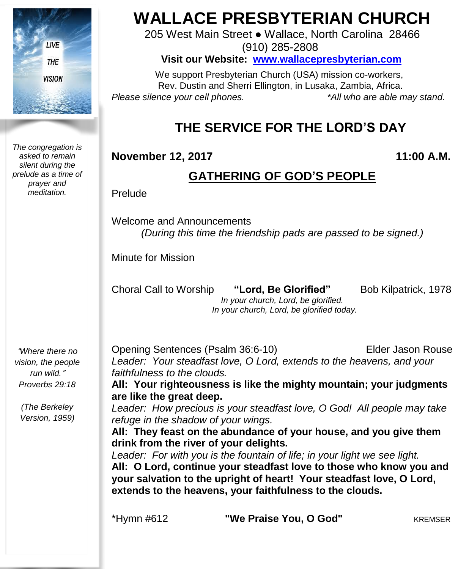

*The congregation is asked to remain silent during the prelude as a time of prayer and meditation.*

"*Where there no vision, the people run wild.*" *Proverbs 29:18*

*(The Berkeley Version, 1959)*

# **WALLACE PRESBYTERIAN CHURCH**

205 West Main Street ● Wallace, North Carolina 28466 (910) 285-2808

**Visit our Website: [www.wallacepresbyterian.com](http://www.wallacepresbyterian.com/)**

 We support Presbyterian Church (USA) mission co-workers, Rev. Dustin and Sherri Ellington, in Lusaka, Zambia, Africa. *Please silence your cell phones. \*All who are able may stand.*

## **THE SERVICE FOR THE LORD'S DAY**

### **November 12, 2017 11:00 A.M.**

### **GATHERING OF GOD'S PEOPLE**

Prelude

Welcome and Announcements *(During this time the friendship pads are passed to be signed.)*

Minute for Mission

Choral Call to Worship **"Lord, Be Glorified"** Bob Kilpatrick, 1978 *In your church, Lord, be glorified. In your church, Lord, be glorified today.*

Opening Sentences (Psalm 36:6-10) Elder Jason Rouse *Leader: Your steadfast love, O Lord, extends to the heavens, and your faithfulness to the clouds.* **All: Your righteousness is like the mighty mountain; your judgments**

**are like the great deep.** *Leader: How precious is your steadfast love, O God! All people may take refuge in the shadow of your wings.*

**All: They feast on the abundance of your house, and you give them drink from the river of your delights.**

*Leader: For with you is the fountain of life; in your light we see light.* **All: O Lord, continue your steadfast love to those who know you and your salvation to the upright of heart! Your steadfast love, O Lord, extends to the heavens, your faithfulness to the clouds.**

\*Hymn #612 **"We Praise You, O God"** KREMSER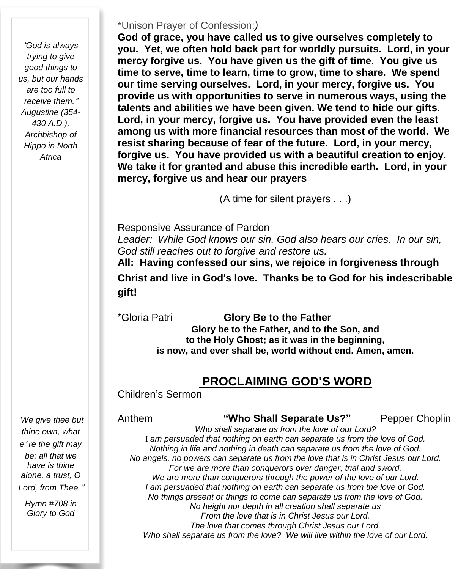"*God is always trying to give good things to us, but our hands are too full to receive them.*" *Augustine (354- 430 A.D.), Archbishop of Hippo in North Africa*

#### \*Unison Prayer of Confession:*)*

**God of grace, you have called us to give ourselves completely to you. Yet, we often hold back part for worldly pursuits. Lord, in your mercy forgive us. You have given us the gift of time. You give us time to serve, time to learn, time to grow, time to share. We spend our time serving ourselves. Lord, in your mercy, forgive us. You provide us with opportunities to serve in numerous ways, using the talents and abilities we have been given. We tend to hide our gifts. Lord, in your mercy, forgive us. You have provided even the least among us with more financial resources than most of the world. We resist sharing because of fear of the future. Lord, in your mercy, forgive us. You have provided us with a beautiful creation to enjoy. We take it for granted and abuse this incredible earth. Lord, in your mercy, forgive us and hear our prayers**

(A time for silent prayers . . .)

Responsive Assurance of Pardon

*Leader: While God knows our sin, God also hears our cries. In our sin, God still reaches out to forgive and restore us.*

**All: Having confessed our sins, we rejoice in forgiveness through Christ and live in God**'**s love. Thanks be to God for his indescribable gift!**

\*Gloria Patri **Glory Be to the Father Glory be to the Father, and to the Son, and to the Holy Ghost; as it was in the beginning, is now, and ever shall be, world without end. Amen, amen.**

### **PROCLAIMING GOD'S WORD**

Children's Sermon

Anthem **"Who Shall Separate Us?"** Pepper Choplin *Who shall separate us from the love of our Lord?* I *am persuaded that nothing on earth can separate us from the love of God. Nothing in life and nothing in death can separate us from the love of God. No angels, no powers can separate us from the love that is in Christ Jesus our Lord. For we are more than conquerors over danger, trial and sword. We are more than conquerors through the power of the love of our Lord. I am persuaded that nothing on earth can separate us from the love of God. No things present or things to come can separate us from the love of God. No height nor depth in all creation shall separate us From the love that is in Christ Jesus our Lord. The love that comes through Christ Jesus our Lord. Who shall separate us from the love? We will live within the love of our Lord.*

"*We give thee but thine own, what e*' *re the gift may be; all that we have is thine alone, a trust, O Lord, from Thee.*"

*Hymn #708 in Glory to God*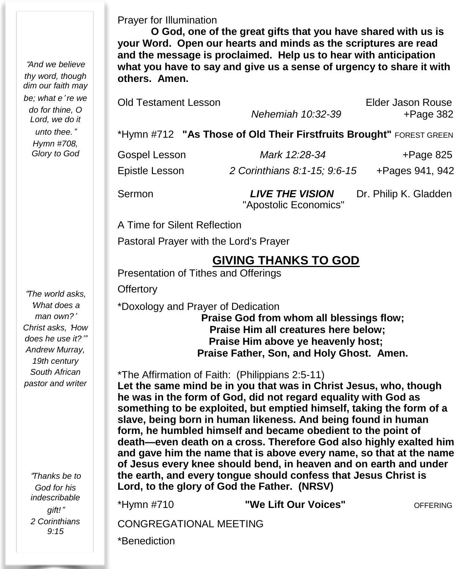"*And we believe thy word, though dim our faith may be; what e*' *re we do for thine, O Lord, we do it unto thee.*" *Hymn #708, Glory to God*

"*The world asks,* '*What does a man own?*' *Christ asks,* '*How does he use it?*'" *Andrew Murray, 19th century South African pastor and writer*

"*Thanks be to God for his indescribable gift!*" *2 Corinthians 9:15*

Prayer for Illumination

**O God, one of the great gifts that you have shared with us is your Word. Open our hearts and minds as the scriptures are read and the message is proclaimed. Help us to hear with anticipation what you have to say and give us a sense of urgency to share it with others. Amen.**

Old Testament Lesson Elder Jason Rouse

*Nehemiah 10:32-39* +Page 382

\*Hymn #712 **"As Those of Old Their Firstfruits Brought"** FOREST GREEN

Gospel Lesson *Mark 12:28-34* +Page 825

Epistle Lesson *2 Corinthians 8:1-15; 9:6-15* +Pages 941, 942

Sermon *LIVE THE VISION* Dr. Philip K. Gladden "Apostolic Economics"

A Time for Silent Reflection

Pastoral Prayer with the Lord's Prayer

### **GIVING THANKS TO GOD**

Presentation of Tithes and Offerings

**Offertory** 

\*Doxology and Prayer of Dedication

**Praise God from whom all blessings flow; Praise Him all creatures here below; Praise Him above ye heavenly host; Praise Father, Son, and Holy Ghost. Amen.**

\*The Affirmation of Faith: (Philippians 2:5-11)

**Let the same mind be in you that was in Christ Jesus, who, though he was in the form of God, did not regard equality with God as something to be exploited, but emptied himself, taking the form of a slave, being born in human likeness. And being found in human form, he humbled himself and became obedient to the point of death—even death on a cross. Therefore God also highly exalted him and gave him the name that is above every name, so that at the name of Jesus every knee should bend, in heaven and on earth and under the earth, and every tongue should confess that Jesus Christ is Lord, to the glory of God the Father. (NRSV)**

\*Hymn #710 **"We Lift Our Voices"** OFFERING

CONGREGATIONAL MEETING

\*Benediction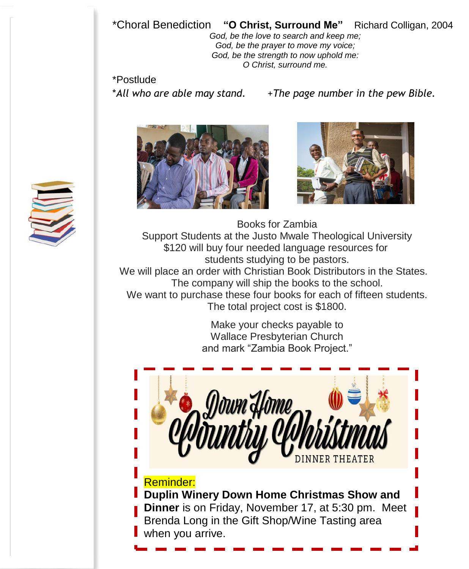### \*Choral Benediction **"O Christ, Surround Me"** Richard Colligan, 2004

*God, be the love to search and keep me; God, be the prayer to move my voice; God, be the strength to now uphold me: O Christ, surround me.*

\*Postlude

\**All who are able may stand.* +*The page number in the pew Bible.*





Books for Zambia Support Students at the Justo Mwale Theological University \$120 will buy four needed language resources for students studying to be pastors. We will place an order with Christian Book Distributors in the States. The company will ship the books to the school. We want to purchase these four books for each of fifteen students. The total project cost is \$1800.

> Make your checks payable to Wallace Presbyterian Church and mark "Zambia Book Project."



Reminder: **Duplin Winery Down Home Christmas Show and Dinner** is on Friday, November 17, at 5:30 pm. Meet Brenda Long in the Gift Shop/Wine Tasting area when you arrive.

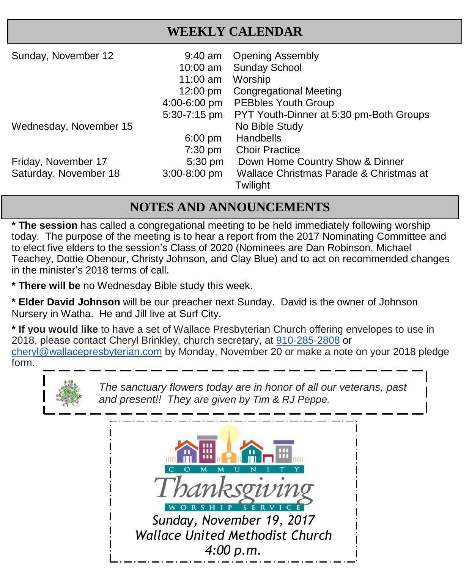### **WEEKLY CALENDAR**

| Sunday, November 12    | $9:40$ am<br>10:00 am<br>$11:00$ am<br>$12:00 \text{ pm}$ | <b>Opening Assembly</b><br><b>Sunday School</b><br>Worship<br><b>Congregational Meeting</b> |
|------------------------|-----------------------------------------------------------|---------------------------------------------------------------------------------------------|
|                        | 4:00-6:00 pm                                              | <b>PEBbles Youth Group</b>                                                                  |
|                        | 5:30-7:15 pm                                              | PYT Youth-Dinner at 5:30 pm-Both Groups                                                     |
| Wednesday, November 15 |                                                           | No Bible Study                                                                              |
|                        | $6:00 \text{ pm}$                                         | Handbells                                                                                   |
|                        | $7:30 \text{ pm}$                                         | <b>Choir Practice</b>                                                                       |
| Friday, November 17    | 5:30 pm                                                   | Down Home Country Show & Dinner                                                             |
| Saturday, November 18  | 3:00-8:00 pm                                              | Wallace Christmas Parade & Christmas at                                                     |
|                        |                                                           | Twilight                                                                                    |

### **NOTES AND ANNOUNCEMENTS**

\* The session has called a congregational meeting to be held immediately following worship today. The purpose of the meeting is to hear a report from the 2017 Nominating Committee and to elect five elders to the session's Class of 2020 (Nominees are Dan Robinson, Michael Teachey, Dottie Obenour, Christy Johnson, and Clay Blue) and to act on recommended changes in the minister's 2018 terms of call.

**\* There will be** no Wednesday Bible study this week.

**\* Elder David Johnson** will be our preacher next Sunday. David is the owner of Johnson Nursery in Watha. He and Jill live at Surf City.

**\* If you would like** to have a set of Wallace Presbyterian Church offering envelopes to use in 2018, please contact Cheryl Brinkley, church secretary, at [910-285-2808](tel:(910)%20285-2808) or [cheryl@wallacepresbyterian.com](mailto:cheryl@wallacepresbyterian.com) by Monday, November 20 or make a note on your 2018 pledge form.



*The sanctuary flowers today are in honor of all our veterans, past and present!! They are given by Tim & RJ Peppe.*

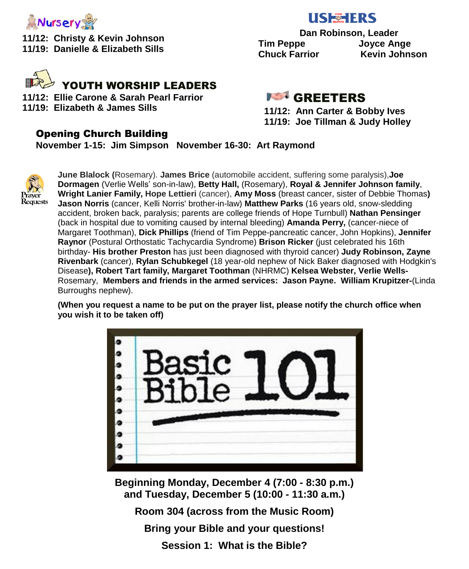

**11/12: Christy & Kevin Johnson 11/19: Danielle & Elizabeth Sills** 



**11/12: Ellie Carone & Sarah Pearl Farrior 11/19: Elizabeth & James Sills**

### **USE TERS**

 **Dan Robinson, Leader Tim Peppe Joyce Ange Chuck Farrior Kevin Johnson**

**IST** GREETERS

**11/12: Ann Carter & Bobby Ives 11/19: Joe Tillman & Judy Holley**

#### Opening Church Building

**November 1-15: Jim Simpson November 16-30: Art Raymond**



 **June Blalock (**Rosemary). **James Brice** (automobile accident, suffering some paralysis),**Joe Dormagen** (Verlie Wells' son-in-law), **Betty Hall,** (Rosemary), **Royal & Jennifer Johnson family**, **Wright Lanier Family, Hope Lettieri** (cancer), **Amy Moss** (breast cancer, sister of Debbie Thomas**) Jason Norris** (cancer, Kelli Norris' brother-in-law) **Matthew Parks** (16 years old, snow-sledding accident, broken back, paralysis; parents are college friends of Hope Turnbull) **Nathan Pensinger** (back in hospital due to vomiting caused by internal bleeding) **Amanda Perry,** (cancer-niece of Margaret Toothman), **Dick Phillips** (friend of Tim Peppe-pancreatic cancer, John Hopkins), **Jennifer Raynor** (Postural Orthostatic Tachycardia Syndrome) **Brison Ricker** (just celebrated his 16th birthday- **His brother Preston** has just been diagnosed with thyroid cancer) **Judy Robinson, Zayne Rivenbark** (cancer), **Rylan Schubkegel** (18 year-old nephew of Nick Baker diagnosed with Hodgkin's Disease**), Robert Tart family, Margaret Toothman** (NHRMC) **Kelsea Webster, Verlie Wells-**Rosemary, **Members and friends in the armed services: Jason Payne. William Krupitzer-**(Linda Burroughs nephew).

**(When you request a name to be put on the prayer list, please notify the church office when you wish it to be taken off)**



**Beginning Monday, December 4 (7:00 - 8:30 p.m.) and Tuesday, December 5 (10:00 - 11:30 a.m.)**

**Room 304 (across from the Music Room)**

**Bring your Bible and your questions!**

**Session 1: What is the Bible?**